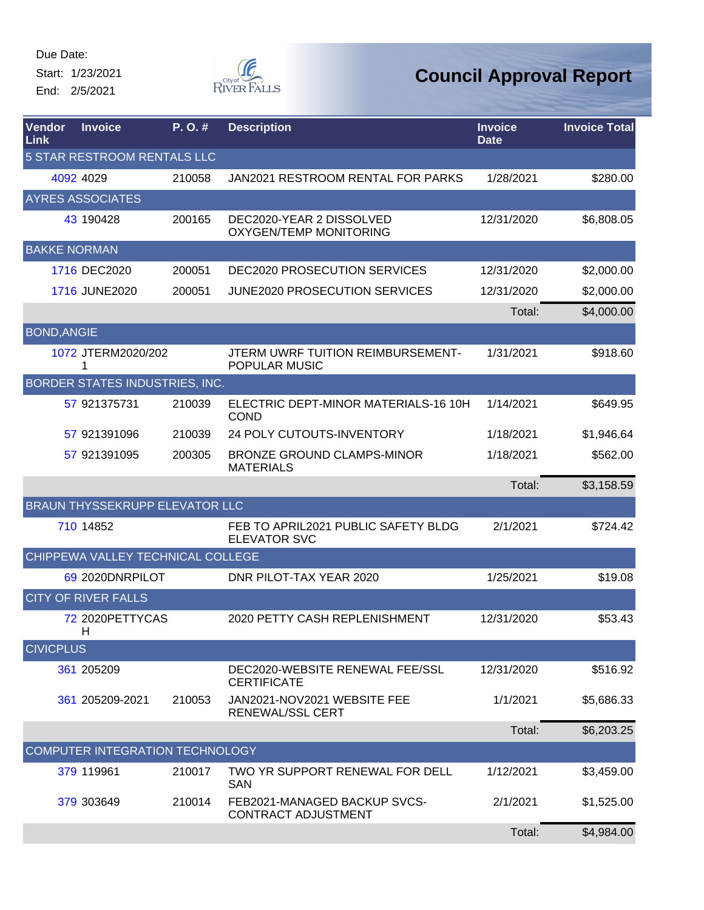Start: 1/23/2021 End: 2/5/2021



| <b>Vendor</b><br><b>Link</b> | <b>Invoice</b>                        | P.O.#  | <b>Description</b>                                         | <b>Invoice</b><br><b>Date</b> | <b>Invoice Total</b> |  |  |
|------------------------------|---------------------------------------|--------|------------------------------------------------------------|-------------------------------|----------------------|--|--|
| 5 STAR RESTROOM RENTALS LLC  |                                       |        |                                                            |                               |                      |  |  |
|                              | 4092 4029                             | 210058 | JAN2021 RESTROOM RENTAL FOR PARKS                          | 1/28/2021                     | \$280.00             |  |  |
|                              | <b>AYRES ASSOCIATES</b>               |        |                                                            |                               |                      |  |  |
|                              | 43 190428                             | 200165 | DEC2020-YEAR 2 DISSOLVED<br>OXYGEN/TEMP MONITORING         | 12/31/2020                    | \$6,808.05           |  |  |
| <b>BAKKE NORMAN</b>          |                                       |        |                                                            |                               |                      |  |  |
|                              | 1716 DEC2020                          | 200051 | DEC2020 PROSECUTION SERVICES                               | 12/31/2020                    | \$2,000.00           |  |  |
|                              | 1716 JUNE2020                         | 200051 | <b>JUNE2020 PROSECUTION SERVICES</b>                       | 12/31/2020                    | \$2,000.00           |  |  |
|                              |                                       |        |                                                            | Total:                        | \$4,000.00           |  |  |
| <b>BOND, ANGIE</b>           |                                       |        |                                                            |                               |                      |  |  |
|                              | 1072 JTERM2020/202<br>1               |        | JTERM UWRF TUITION REIMBURSEMENT-<br>POPULAR MUSIC         | 1/31/2021                     | \$918.60             |  |  |
|                              | BORDER STATES INDUSTRIES, INC.        |        |                                                            |                               |                      |  |  |
|                              | 57 921375731                          | 210039 | ELECTRIC DEPT-MINOR MATERIALS-16 10H<br><b>COND</b>        | 1/14/2021                     | \$649.95             |  |  |
|                              | 57 921391096                          | 210039 | 24 POLY CUTOUTS-INVENTORY                                  | 1/18/2021                     | \$1,946.64           |  |  |
|                              | 57 921391095                          | 200305 | <b>BRONZE GROUND CLAMPS-MINOR</b><br><b>MATERIALS</b>      | 1/18/2021                     | \$562.00             |  |  |
|                              |                                       |        |                                                            | Total:                        | \$3,158.59           |  |  |
|                              | <b>BRAUN THYSSEKRUPP ELEVATOR LLC</b> |        |                                                            |                               |                      |  |  |
|                              | 710 14852                             |        | FEB TO APRIL2021 PUBLIC SAFETY BLDG<br><b>ELEVATOR SVC</b> | 2/1/2021                      | \$724.42             |  |  |
|                              | CHIPPEWA VALLEY TECHNICAL COLLEGE     |        |                                                            |                               |                      |  |  |
|                              | 69 2020DNRPILOT                       |        | DNR PILOT-TAX YEAR 2020                                    | 1/25/2021                     | \$19.08              |  |  |
|                              | <b>CITY OF RIVER FALLS</b>            |        |                                                            |                               |                      |  |  |
|                              | 72 2020PETTYCAS<br>H.                 |        | 2020 PETTY CASH REPLENISHMENT                              | 12/31/2020                    | \$53.43              |  |  |
| <b>CIVICPLUS</b>             |                                       |        |                                                            |                               |                      |  |  |
|                              | 361 205209                            |        | DEC2020-WEBSITE RENEWAL FEE/SSL<br><b>CERTIFICATE</b>      | 12/31/2020                    | \$516.92             |  |  |
|                              | 361 205209-2021                       | 210053 | JAN2021-NOV2021 WEBSITE FEE<br>RENEWAL/SSL CERT            | 1/1/2021                      | \$5,686.33           |  |  |
|                              |                                       |        |                                                            | Total:                        | \$6,203.25           |  |  |
|                              | COMPUTER INTEGRATION TECHNOLOGY       |        |                                                            |                               |                      |  |  |
|                              | 379 119961                            | 210017 | TWO YR SUPPORT RENEWAL FOR DELL<br>SAN                     | 1/12/2021                     | \$3,459.00           |  |  |
|                              | 379 303649                            | 210014 | FEB2021-MANAGED BACKUP SVCS-<br><b>CONTRACT ADJUSTMENT</b> | 2/1/2021                      | \$1,525.00           |  |  |
|                              |                                       |        |                                                            | Total:                        | \$4,984.00           |  |  |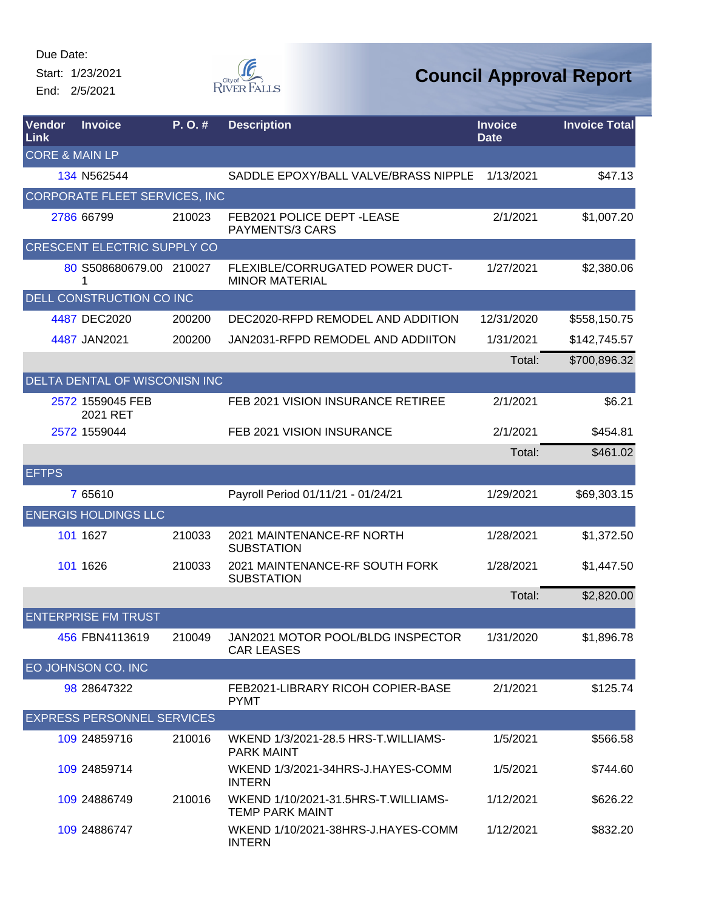Start: 1/23/2021 End: 2/5/2021



| Vendor<br>Link            | <b>Invoice</b>                     | P. O. # | <b>Description</b>                                            | <b>Invoice</b><br><b>Date</b> | <b>Invoice Total</b> |
|---------------------------|------------------------------------|---------|---------------------------------------------------------------|-------------------------------|----------------------|
| <b>CORE &amp; MAIN LP</b> |                                    |         |                                                               |                               |                      |
|                           | 134 N562544                        |         | SADDLE EPOXY/BALL VALVE/BRASS NIPPLE                          | 1/13/2021                     | \$47.13              |
|                           | CORPORATE FLEET SERVICES, INC      |         |                                                               |                               |                      |
|                           | 2786 66799                         | 210023  | FEB2021 POLICE DEPT-LEASE<br>PAYMENTS/3 CARS                  | 2/1/2021                      | \$1,007.20           |
|                           | <b>CRESCENT ELECTRIC SUPPLY CO</b> |         |                                                               |                               |                      |
|                           | 80 S508680679.00 210027<br>1       |         | FLEXIBLE/CORRUGATED POWER DUCT-<br><b>MINOR MATERIAL</b>      | 1/27/2021                     | \$2,380.06           |
|                           | DELL CONSTRUCTION CO INC           |         |                                                               |                               |                      |
|                           | 4487 DEC2020                       | 200200  | DEC2020-RFPD REMODEL AND ADDITION                             | 12/31/2020                    | \$558,150.75         |
|                           | 4487 JAN2021                       | 200200  | JAN2031-RFPD REMODEL AND ADDIITON                             | 1/31/2021                     | \$142,745.57         |
|                           |                                    |         |                                                               | Total:                        | \$700,896.32         |
|                           | DELTA DENTAL OF WISCONISN INC      |         |                                                               |                               |                      |
|                           | 2572 1559045 FEB<br>2021 RET       |         | FEB 2021 VISION INSURANCE RETIREE                             | 2/1/2021                      | \$6.21               |
|                           | 2572 1559044                       |         | FEB 2021 VISION INSURANCE                                     | 2/1/2021                      | \$454.81             |
|                           |                                    |         |                                                               | Total:                        | \$461.02             |
| <b>EFTPS</b>              |                                    |         |                                                               |                               |                      |
|                           | 7 65610                            |         | Payroll Period 01/11/21 - 01/24/21                            | 1/29/2021                     | \$69,303.15          |
|                           | <b>ENERGIS HOLDINGS LLC</b>        |         |                                                               |                               |                      |
|                           | 101 1627                           | 210033  | 2021 MAINTENANCE-RF NORTH<br><b>SUBSTATION</b>                | 1/28/2021                     | \$1,372.50           |
|                           | 101 1626                           | 210033  | 2021 MAINTENANCE-RF SOUTH FORK<br><b>SUBSTATION</b>           | 1/28/2021                     | \$1,447.50           |
|                           |                                    |         |                                                               | Total:                        | \$2,820.00           |
|                           | <b>ENTERPRISE FM TRUST</b>         |         |                                                               |                               |                      |
|                           | 456 FBN4113619                     | 210049  | JAN2021 MOTOR POOL/BLDG INSPECTOR<br><b>CAR LEASES</b>        | 1/31/2020                     | \$1,896.78           |
|                           | EO JOHNSON CO. INC                 |         |                                                               |                               |                      |
|                           | 98 28647322                        |         | FEB2021-LIBRARY RICOH COPIER-BASE<br><b>PYMT</b>              | 2/1/2021                      | \$125.74             |
|                           | <b>EXPRESS PERSONNEL SERVICES</b>  |         |                                                               |                               |                      |
|                           | 109 24859716                       | 210016  | WKEND 1/3/2021-28.5 HRS-T. WILLIAMS-<br><b>PARK MAINT</b>     | 1/5/2021                      | \$566.58             |
|                           | 109 24859714                       |         | WKEND 1/3/2021-34HRS-J.HAYES-COMM<br><b>INTERN</b>            | 1/5/2021                      | \$744.60             |
|                           | 109 24886749                       | 210016  | WKEND 1/10/2021-31.5HRS-T.WILLIAMS-<br><b>TEMP PARK MAINT</b> | 1/12/2021                     | \$626.22             |
|                           | 109 24886747                       |         | WKEND 1/10/2021-38HRS-J.HAYES-COMM<br><b>INTERN</b>           | 1/12/2021                     | \$832.20             |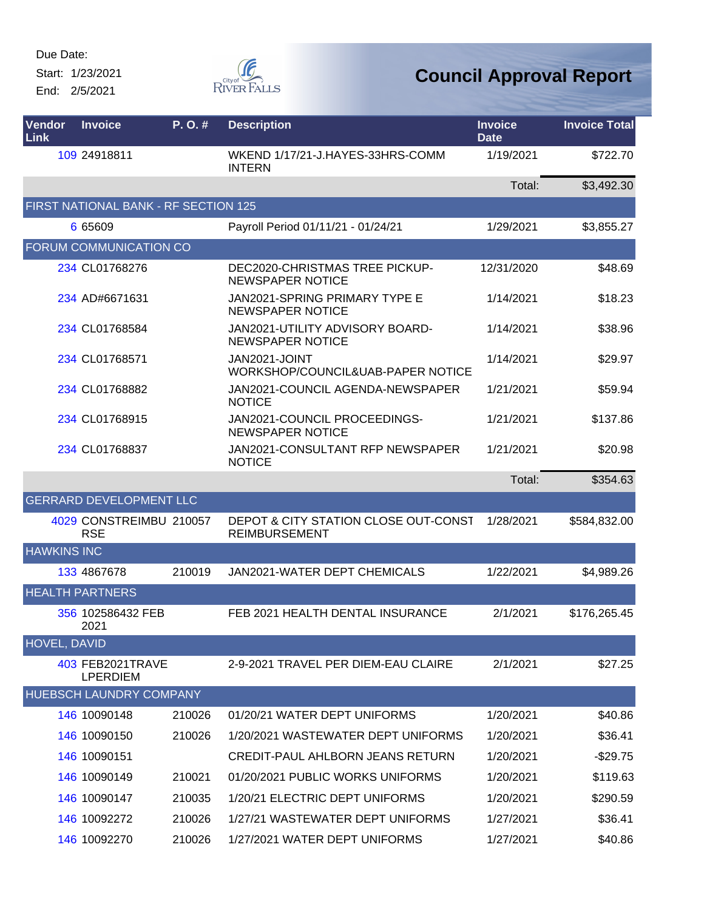Start: 1/23/2021 End: 2/5/2021



| Vendor<br><b>Link</b> | <b>Invoice</b>                        | P.O.#  | <b>Description</b>                                           | <b>Invoice</b><br><b>Date</b> | <b>Invoice Total</b> |
|-----------------------|---------------------------------------|--------|--------------------------------------------------------------|-------------------------------|----------------------|
|                       | 109 24918811                          |        | WKEND 1/17/21-J.HAYES-33HRS-COMM<br><b>INTERN</b>            | 1/19/2021                     | \$722.70             |
|                       |                                       |        |                                                              | Total:                        | \$3,492.30           |
|                       | FIRST NATIONAL BANK - RF SECTION 125  |        |                                                              |                               |                      |
|                       | 6 65609                               |        | Payroll Period 01/11/21 - 01/24/21                           | 1/29/2021                     | \$3,855.27           |
|                       | <b>FORUM COMMUNICATION CO</b>         |        |                                                              |                               |                      |
|                       | 234 CL01768276                        |        | DEC2020-CHRISTMAS TREE PICKUP-<br><b>NEWSPAPER NOTICE</b>    | 12/31/2020                    | \$48.69              |
|                       | 234 AD#6671631                        |        | JAN2021-SPRING PRIMARY TYPE E<br><b>NEWSPAPER NOTICE</b>     | 1/14/2021                     | \$18.23              |
|                       | 234 CL01768584                        |        | JAN2021-UTILITY ADVISORY BOARD-<br><b>NEWSPAPER NOTICE</b>   | 1/14/2021                     | \$38.96              |
|                       | 234 CL01768571                        |        | JAN2021-JOINT<br>WORKSHOP/COUNCIL&UAB-PAPER NOTICE           | 1/14/2021                     | \$29.97              |
|                       | 234 CL01768882                        |        | JAN2021-COUNCIL AGENDA-NEWSPAPER<br><b>NOTICE</b>            | 1/21/2021                     | \$59.94              |
|                       | 234 CL01768915                        |        | JAN2021-COUNCIL PROCEEDINGS-<br><b>NEWSPAPER NOTICE</b>      | 1/21/2021                     | \$137.86             |
|                       | 234 CL01768837                        |        | JAN2021-CONSULTANT RFP NEWSPAPER<br><b>NOTICE</b>            | 1/21/2021                     | \$20.98              |
|                       |                                       |        |                                                              | Total:                        | \$354.63             |
|                       | <b>GERRARD DEVELOPMENT LLC</b>        |        |                                                              |                               |                      |
|                       | 4029 CONSTREIMBU 210057<br><b>RSE</b> |        | DEPOT & CITY STATION CLOSE OUT-CONST<br><b>REIMBURSEMENT</b> | 1/28/2021                     | \$584,832.00         |
| <b>HAWKINS INC</b>    |                                       |        |                                                              |                               |                      |
|                       | 133 4867678                           | 210019 | JAN2021-WATER DEPT CHEMICALS                                 | 1/22/2021                     | \$4,989.26           |
|                       | <b>HEALTH PARTNERS</b>                |        |                                                              |                               |                      |
|                       | 356 102586432 FEB<br>2021             |        | FEB 2021 HEALTH DENTAL INSURANCE                             | 2/1/2021                      | \$176,265.45         |
| <b>HOVEL, DAVID</b>   |                                       |        |                                                              |                               |                      |
|                       | 403 FEB2021TRAVE<br><b>LPERDIEM</b>   |        | 2-9-2021 TRAVEL PER DIEM-EAU CLAIRE                          | 2/1/2021                      | \$27.25              |
|                       | HUEBSCH LAUNDRY COMPANY               |        |                                                              |                               |                      |
|                       | 146 10090148                          | 210026 | 01/20/21 WATER DEPT UNIFORMS                                 | 1/20/2021                     | \$40.86              |
|                       | 146 10090150                          | 210026 | 1/20/2021 WASTEWATER DEPT UNIFORMS                           | 1/20/2021                     | \$36.41              |
|                       | 146 10090151                          |        | CREDIT-PAUL AHLBORN JEANS RETURN                             | 1/20/2021                     | $-$29.75$            |
|                       | 146 10090149                          | 210021 | 01/20/2021 PUBLIC WORKS UNIFORMS                             | 1/20/2021                     | \$119.63             |
|                       | 146 10090147                          | 210035 | 1/20/21 ELECTRIC DEPT UNIFORMS                               | 1/20/2021                     | \$290.59             |
|                       | 146 10092272                          | 210026 | 1/27/21 WASTEWATER DEPT UNIFORMS                             | 1/27/2021                     | \$36.41              |
|                       | 146 10092270                          | 210026 | 1/27/2021 WATER DEPT UNIFORMS                                | 1/27/2021                     | \$40.86              |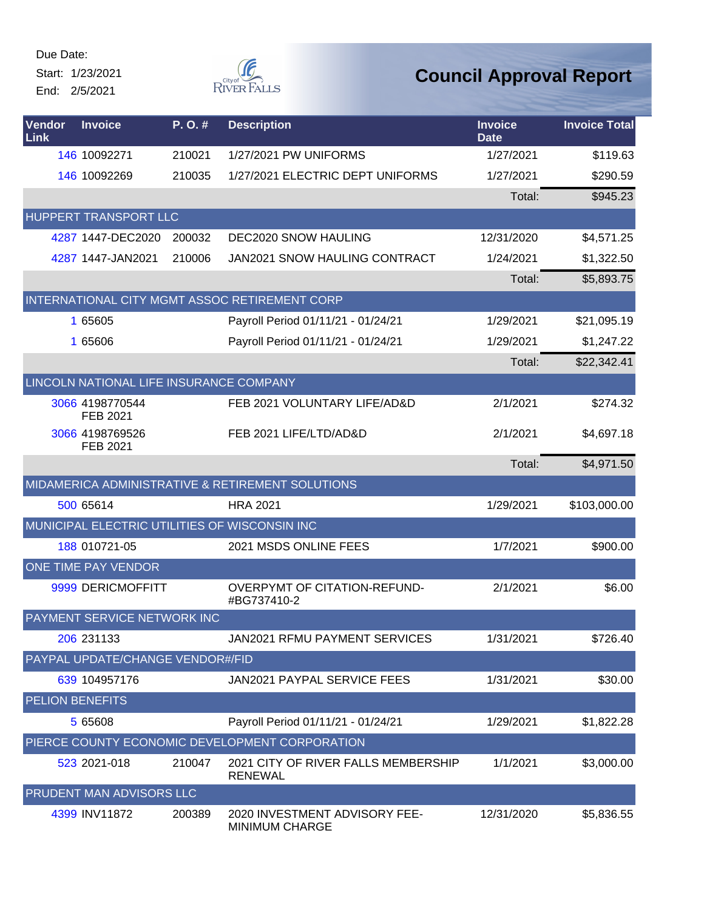Start: 1/23/2021 End: 2/5/2021



| Vendor<br>Link         | <b>Invoice</b>                          | P.O.#  | <b>Description</b>                                     | <b>Invoice</b><br><b>Date</b> | <b>Invoice Total</b> |  |  |  |
|------------------------|-----------------------------------------|--------|--------------------------------------------------------|-------------------------------|----------------------|--|--|--|
|                        | 146 10092271                            | 210021 | 1/27/2021 PW UNIFORMS                                  | 1/27/2021                     | \$119.63             |  |  |  |
|                        | 146 10092269                            | 210035 | 1/27/2021 ELECTRIC DEPT UNIFORMS                       | 1/27/2021                     | \$290.59             |  |  |  |
|                        |                                         |        |                                                        | Total:                        | \$945.23             |  |  |  |
|                        | HUPPERT TRANSPORT LLC                   |        |                                                        |                               |                      |  |  |  |
|                        | 4287 1447-DEC2020                       | 200032 | <b>DEC2020 SNOW HAULING</b>                            | 12/31/2020                    | \$4,571.25           |  |  |  |
|                        | 4287 1447-JAN2021                       | 210006 | JAN2021 SNOW HAULING CONTRACT                          | 1/24/2021                     | \$1,322.50           |  |  |  |
|                        |                                         |        |                                                        | Total:                        | \$5,893.75           |  |  |  |
|                        |                                         |        | INTERNATIONAL CITY MGMT ASSOC RETIREMENT CORP          |                               |                      |  |  |  |
|                        | 1 65605                                 |        | Payroll Period 01/11/21 - 01/24/21                     | 1/29/2021                     | \$21,095.19          |  |  |  |
|                        | 1 65606                                 |        | Payroll Period 01/11/21 - 01/24/21                     | 1/29/2021                     | \$1,247.22           |  |  |  |
|                        |                                         |        |                                                        | Total:                        | \$22,342.41          |  |  |  |
|                        | LINCOLN NATIONAL LIFE INSURANCE COMPANY |        |                                                        |                               |                      |  |  |  |
|                        | 3066 4198770544<br>FEB 2021             |        | FEB 2021 VOLUNTARY LIFE/AD&D                           | 2/1/2021                      | \$274.32             |  |  |  |
|                        | 3066 4198769526<br>FEB 2021             |        | FEB 2021 LIFE/LTD/AD&D                                 | 2/1/2021                      | \$4,697.18           |  |  |  |
|                        |                                         |        |                                                        | Total:                        | \$4,971.50           |  |  |  |
|                        |                                         |        | MIDAMERICA ADMINISTRATIVE & RETIREMENT SOLUTIONS       |                               |                      |  |  |  |
|                        | 500 65614                               |        | <b>HRA 2021</b>                                        | 1/29/2021                     | \$103,000.00         |  |  |  |
|                        |                                         |        | MUNICIPAL ELECTRIC UTILITIES OF WISCONSIN INC          |                               |                      |  |  |  |
|                        | 188 010721-05                           |        | 2021 MSDS ONLINE FEES                                  | 1/7/2021                      | \$900.00             |  |  |  |
|                        | ONE TIME PAY VENDOR                     |        |                                                        |                               |                      |  |  |  |
|                        | 9999 DERICMOFFITT                       |        | OVERPYMT OF CITATION-REFUND-<br>#BG737410-2            | 2/1/2021                      | \$6.00               |  |  |  |
|                        | PAYMENT SERVICE NETWORK INC             |        |                                                        |                               |                      |  |  |  |
|                        | 206 231133                              |        | JAN2021 RFMU PAYMENT SERVICES                          | 1/31/2021                     | \$726.40             |  |  |  |
|                        | PAYPAL UPDATE/CHANGE VENDOR#/FID        |        |                                                        |                               |                      |  |  |  |
|                        | 639 104957176                           |        | JAN2021 PAYPAL SERVICE FEES                            | 1/31/2021                     | \$30.00              |  |  |  |
| <b>PELION BENEFITS</b> |                                         |        |                                                        |                               |                      |  |  |  |
|                        | 5 65608                                 |        | Payroll Period 01/11/21 - 01/24/21                     | 1/29/2021                     | \$1,822.28           |  |  |  |
|                        |                                         |        | PIERCE COUNTY ECONOMIC DEVELOPMENT CORPORATION         |                               |                      |  |  |  |
|                        | 523 2021-018                            | 210047 | 2021 CITY OF RIVER FALLS MEMBERSHIP<br><b>RENEWAL</b>  | 1/1/2021                      | \$3,000.00           |  |  |  |
|                        | PRUDENT MAN ADVISORS LLC                |        |                                                        |                               |                      |  |  |  |
|                        | 4399 INV11872                           | 200389 | 2020 INVESTMENT ADVISORY FEE-<br><b>MINIMUM CHARGE</b> | 12/31/2020                    | \$5,836.55           |  |  |  |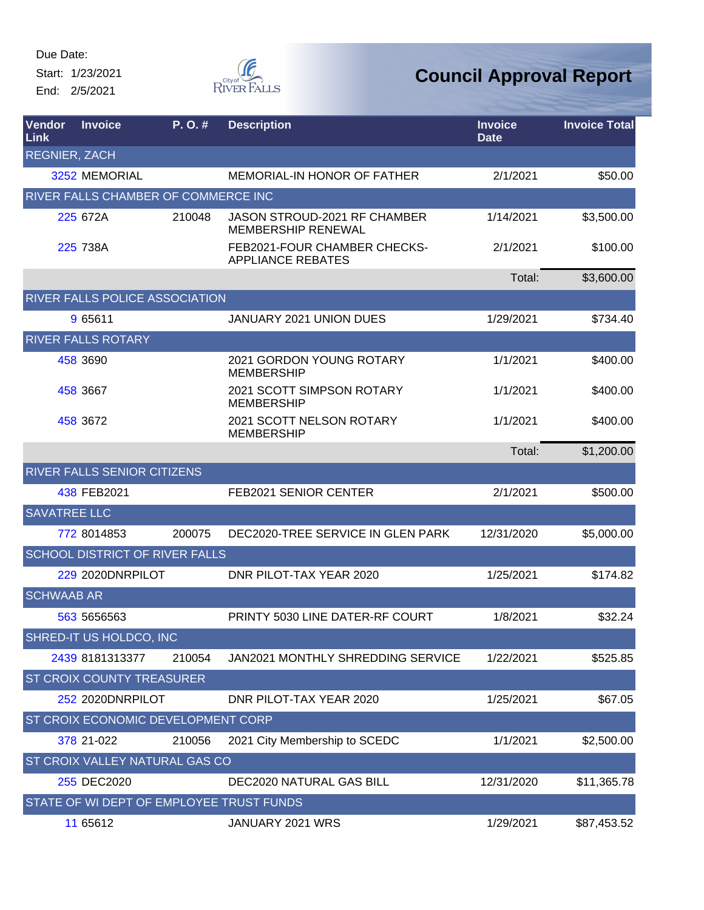Start: 1/23/2021 End: 2/5/2021



| Vendor<br>Link       | <b>Invoice</b>                           | P.O.#  | <b>Description</b>                                               | <b>Invoice</b><br><b>Date</b> | <b>Invoice Total</b> |
|----------------------|------------------------------------------|--------|------------------------------------------------------------------|-------------------------------|----------------------|
| <b>REGNIER, ZACH</b> |                                          |        |                                                                  |                               |                      |
|                      | 3252 MEMORIAL                            |        | <b>MEMORIAL-IN HONOR OF FATHER</b>                               | 2/1/2021                      | \$50.00              |
|                      | RIVER FALLS CHAMBER OF COMMERCE INC      |        |                                                                  |                               |                      |
|                      | 225 672A                                 | 210048 | <b>JASON STROUD-2021 RF CHAMBER</b><br><b>MEMBERSHIP RENEWAL</b> | 1/14/2021                     | \$3,500.00           |
|                      | 225 738A                                 |        | FEB2021-FOUR CHAMBER CHECKS-<br><b>APPLIANCE REBATES</b>         | 2/1/2021                      | \$100.00             |
|                      |                                          |        |                                                                  | Total:                        | \$3,600.00           |
|                      | RIVER FALLS POLICE ASSOCIATION           |        |                                                                  |                               |                      |
|                      | 9 65611                                  |        | <b>JANUARY 2021 UNION DUES</b>                                   | 1/29/2021                     | \$734.40             |
|                      | <b>RIVER FALLS ROTARY</b>                |        |                                                                  |                               |                      |
|                      | 458 3690                                 |        | <b>2021 GORDON YOUNG ROTARY</b><br><b>MEMBERSHIP</b>             | 1/1/2021                      | \$400.00             |
|                      | 458 3667                                 |        | 2021 SCOTT SIMPSON ROTARY<br><b>MEMBERSHIP</b>                   | 1/1/2021                      | \$400.00             |
|                      | 458 3672                                 |        | 2021 SCOTT NELSON ROTARY<br><b>MEMBERSHIP</b>                    | 1/1/2021                      | \$400.00             |
|                      |                                          |        |                                                                  | Total:                        | \$1,200.00           |
|                      | RIVER FALLS SENIOR CITIZENS              |        |                                                                  |                               |                      |
|                      | 438 FEB2021                              |        | FEB2021 SENIOR CENTER                                            | 2/1/2021                      | \$500.00             |
| <b>SAVATREE LLC</b>  |                                          |        |                                                                  |                               |                      |
|                      | 772 8014853                              | 200075 | DEC2020-TREE SERVICE IN GLEN PARK                                | 12/31/2020                    | \$5,000.00           |
|                      | <b>SCHOOL DISTRICT OF RIVER FALLS</b>    |        |                                                                  |                               |                      |
|                      | <b>229 2020DNRPILOT</b>                  |        | DNR PILOT-TAX YEAR 2020                                          | 1/25/2021                     | \$174.82             |
| <b>SCHWAAB AR</b>    |                                          |        |                                                                  |                               |                      |
|                      | 563 5656563                              |        | PRINTY 5030 LINE DATER-RF COURT                                  | 1/8/2021                      | \$32.24              |
|                      | SHRED-IT US HOLDCO, INC                  |        |                                                                  |                               |                      |
|                      | 2439 8181313377                          | 210054 | <b>JAN2021 MONTHLY SHREDDING SERVICE</b>                         | 1/22/2021                     | \$525.85             |
|                      | ST CROIX COUNTY TREASURER                |        |                                                                  |                               |                      |
|                      | <b>252 2020DNRPILOT</b>                  |        | DNR PILOT-TAX YEAR 2020                                          | 1/25/2021                     | \$67.05              |
|                      | ST CROIX ECONOMIC DEVELOPMENT CORP       |        |                                                                  |                               |                      |
|                      | 378 21-022                               | 210056 | 2021 City Membership to SCEDC                                    | 1/1/2021                      | \$2,500.00           |
|                      | ST CROIX VALLEY NATURAL GAS CO           |        |                                                                  |                               |                      |
|                      | 255 DEC2020                              |        | DEC2020 NATURAL GAS BILL                                         | 12/31/2020                    | \$11,365.78          |
|                      | STATE OF WI DEPT OF EMPLOYEE TRUST FUNDS |        |                                                                  |                               |                      |
|                      | 11 65612                                 |        | JANUARY 2021 WRS                                                 | 1/29/2021                     | \$87,453.52          |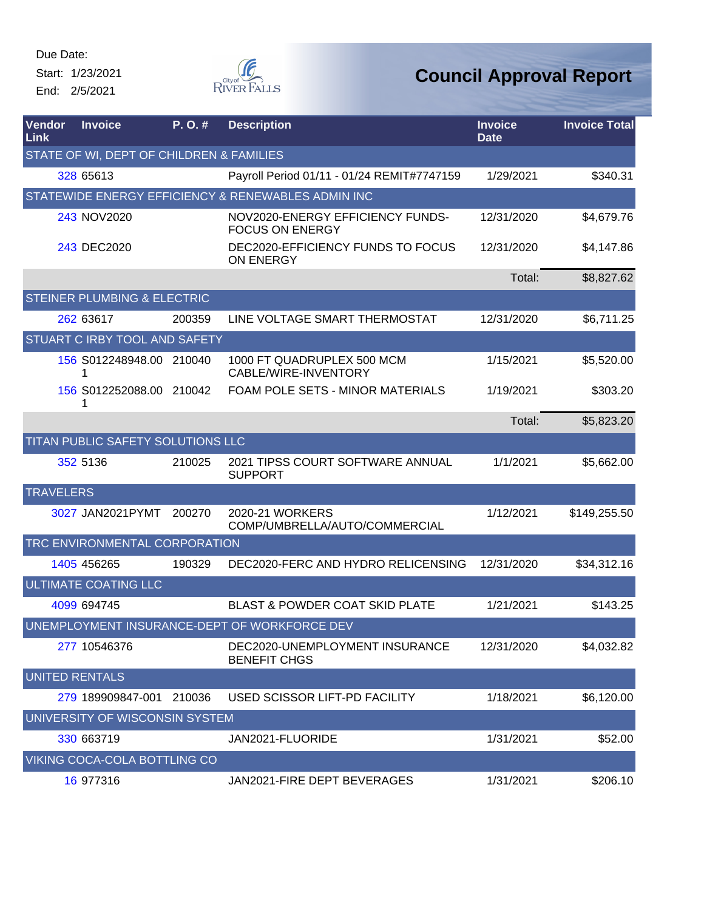Start: 1/23/2021 End: 2/5/2021



| Vendor<br>Link                               | <b>Invoice</b>                           | P.O.#  | <b>Description</b>                                         | <b>Invoice</b><br><b>Date</b> | <b>Invoice Total</b> |  |  |
|----------------------------------------------|------------------------------------------|--------|------------------------------------------------------------|-------------------------------|----------------------|--|--|
|                                              | STATE OF WI, DEPT OF CHILDREN & FAMILIES |        |                                                            |                               |                      |  |  |
|                                              | 328 65613                                |        | Payroll Period 01/11 - 01/24 REMIT#7747159                 | 1/29/2021                     | \$340.31             |  |  |
|                                              |                                          |        | STATEWIDE ENERGY EFFICIENCY & RENEWABLES ADMIN INC         |                               |                      |  |  |
|                                              | 243 NOV2020                              |        | NOV2020-ENERGY EFFICIENCY FUNDS-<br><b>FOCUS ON ENERGY</b> | 12/31/2020                    | \$4,679.76           |  |  |
|                                              | 243 DEC2020                              |        | DEC2020-EFFICIENCY FUNDS TO FOCUS<br>ON ENERGY             | 12/31/2020                    | \$4,147.86           |  |  |
|                                              |                                          |        |                                                            | Total:                        | \$8,827.62           |  |  |
|                                              | <b>STEINER PLUMBING &amp; ELECTRIC</b>   |        |                                                            |                               |                      |  |  |
|                                              | 262 63617                                | 200359 | LINE VOLTAGE SMART THERMOSTAT                              | 12/31/2020                    | \$6,711.25           |  |  |
|                                              | STUART C IRBY TOOL AND SAFETY            |        |                                                            |                               |                      |  |  |
|                                              | 156 S012248948.00 210040                 |        | 1000 FT QUADRUPLEX 500 MCM<br>CABLE/WIRE-INVENTORY         | 1/15/2021                     | \$5,520.00           |  |  |
|                                              | 156 S012252088.00 210042<br>1            |        | FOAM POLE SETS - MINOR MATERIALS                           | 1/19/2021                     | \$303.20             |  |  |
|                                              |                                          |        |                                                            | Total:                        | \$5,823.20           |  |  |
|                                              | TITAN PUBLIC SAFETY SOLUTIONS LLC        |        |                                                            |                               |                      |  |  |
|                                              | 352 5136                                 | 210025 | 2021 TIPSS COURT SOFTWARE ANNUAL<br><b>SUPPORT</b>         | 1/1/2021                      | \$5,662.00           |  |  |
| <b>TRAVELERS</b>                             |                                          |        |                                                            |                               |                      |  |  |
|                                              | 3027 JAN2021PYMT                         | 200270 | 2020-21 WORKERS<br>COMP/UMBRELLA/AUTO/COMMERCIAL           | 1/12/2021                     | \$149,255.50         |  |  |
|                                              | TRC ENVIRONMENTAL CORPORATION            |        |                                                            |                               |                      |  |  |
|                                              | 1405 456265                              | 190329 | DEC2020-FERC AND HYDRO RELICENSING                         | 12/31/2020                    | \$34,312.16          |  |  |
|                                              | <b>ULTIMATE COATING LLC</b>              |        |                                                            |                               |                      |  |  |
|                                              | 4099 694745                              |        | <b>BLAST &amp; POWDER COAT SKID PLATE</b>                  | 1/21/2021                     | \$143.25             |  |  |
| UNEMPLOYMENT INSURANCE-DEPT OF WORKFORCE DEV |                                          |        |                                                            |                               |                      |  |  |
|                                              | 277 10546376                             |        | DEC2020-UNEMPLOYMENT INSURANCE<br><b>BENEFIT CHGS</b>      | 12/31/2020                    | \$4,032.82           |  |  |
| UNITED RENTALS                               |                                          |        |                                                            |                               |                      |  |  |
|                                              | 279 189909847-001                        | 210036 | USED SCISSOR LIFT-PD FACILITY                              | 1/18/2021                     | \$6,120.00           |  |  |
|                                              | UNIVERSITY OF WISCONSIN SYSTEM           |        |                                                            |                               |                      |  |  |
|                                              | 330 663719                               |        | JAN2021-FLUORIDE                                           | 1/31/2021                     | \$52.00              |  |  |
|                                              | VIKING COCA-COLA BOTTLING CO             |        |                                                            |                               |                      |  |  |
|                                              | 16 977316                                |        | JAN2021-FIRE DEPT BEVERAGES                                | 1/31/2021                     | \$206.10             |  |  |